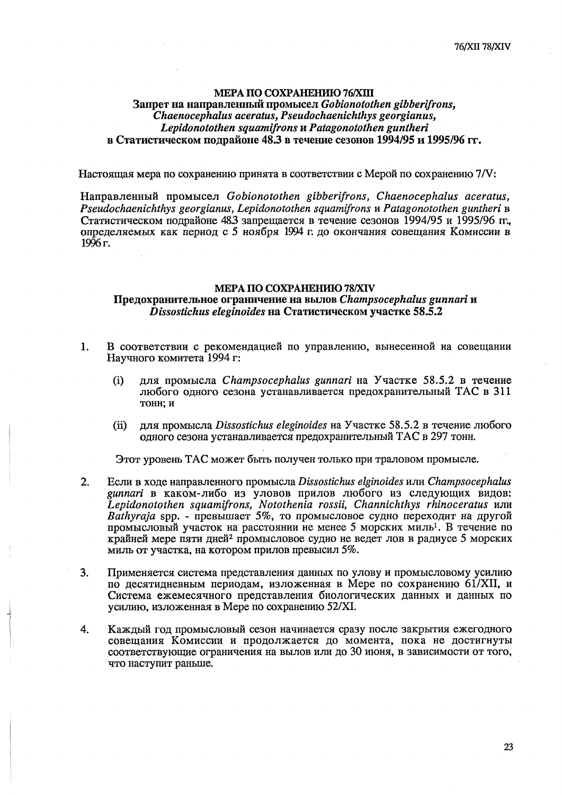## МЕРА ПО СОХРАНЕНИЮ 78/ХІV Предохранительное ограничение на вылов Champsocephalus gunnari и Dissostichus eleginoides на Статистическом участке 58.5.2

- $1.$ В соответствии с рекомендацией по управлению, вынесенной на совещании Научного комитета 1994 г.
	- $(i)$ для промысла Champsocephalus gunnari на Участке 58.5.2 в течение любого одного сезона устанавливается предохранительный ТАС в 311 тонн; и
	- для промысла Dissostichus eleginoides на Участке 58.5.2 в течение любого  $(ii)$ одного сезона устанавливается предохранительный ТАС в 297 тонн.

Этот уровень ТАС может быть получен только при траловом промысле.

- $2.$ Если в ходе направленного промысла Dissostichus elginoides или Champsocephalus gunnari в каком-либо из уловов прилов любого из следующих видов: Lepidonotothen squamifrons, Notothenia rossii, Channichthys rhinoceratus или Bathyraja spp. - превышает 5%, то промысловое судно переходит на другой промысловый участок на расстоянии не менее 5 морских миль<sup>1</sup>. В течение по крайней мере пяти дней<sup>2</sup> промысловое судно не ведет лов в радиусе 5 морских миль от участка, на котором прилов превысил 5%.
- $3.$ Применяется система представления данных по улову и промысловому усилию по десятидневным периодам, изложенная в Мере по сохранению 61/XII, и Система ежемесячного представления биологических данных и данных по усилию, изложенная в Мере по сохранению 52/XI.
- Каждый год промысловый сезон начинается сразу после закрытия ежегодного 4. совещания Комиссии и продолжается до момента, пока не достигнуты соответствующие ограничения на вылов или до 30 июня, в зависимости от того, что наступит раньше.